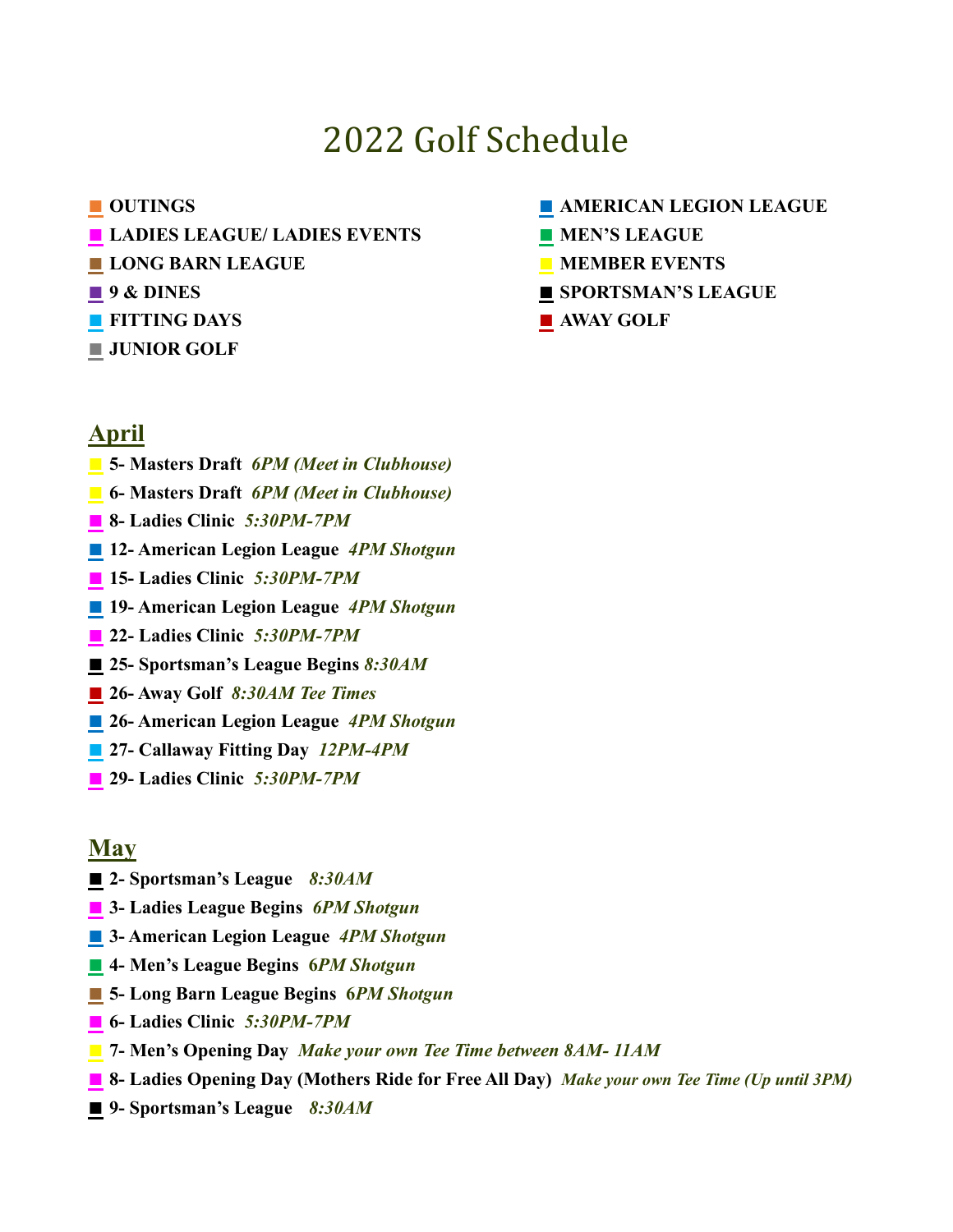# 2022 Golf Schedule

- 
- **■ LADIES LEAGUE/ LADIES EVENTS ■ MEN'S LEAGUE**
- **■ LONG BARN LEAGUE ■ MEMBER EVENTS**
- 
- **■ FITTING DAYS ■ AWAY GOLF**
- **■ JUNIOR GOLF**

#### **■ OUTINGS ■ AMERICAN LEGION LEAGUE**

- 
- 
- **■ 9 & DINES ■ SPORTSMAN'S LEAGUE**
	-

## **April**

- **■ 5- Masters Draft** *6PM (Meet in Clubhouse)*
- **■ 6- Masters Draft** *6PM (Meet in Clubhouse)*
- **■ 8- Ladies Clinic** *5:30PM-7PM*
- **■ 12- American Legion League** *4PM Shotgun*
- **■ 15- Ladies Clinic** *5:30PM-7PM*
- **■ 19- American Legion League** *4PM Shotgun*
- **22- Ladies Clinic** *5:30PM-7PM*
- **■ 25- Sportsman's League Begins** *8:30AM*
- **■ 26- Away Golf** *8:30AM Tee Times*
- **■ 26- American Legion League** *4PM Shotgun*
- **■ 27- Callaway Fitting Day** *12PM-4PM*
- **29- Ladies Clinic** *5:30PM-7PM*

## **May**

- **■ 2- Sportsman's League** *8:30AM*
- **■ 3- Ladies League Begins** *6PM Shotgun*
- **■ 3- American Legion League** *4PM Shotgun*
- **■ 4- Men's League Begins 6***PM Shotgun*
- **■ 5- Long Barn League Begins 6***PM Shotgun*
- **■ 6- Ladies Clinic** *5:30PM-7PM*
- **■ 7- Men's Opening Day** *Make your own Tee Time between 8AM- 11AM*
- **8-** Ladies Opening Day (Mothers Ride for Free All Day) *Make your own Tee Time (Up until 3PM)*
- **■ 9- Sportsman's League** *8:30AM*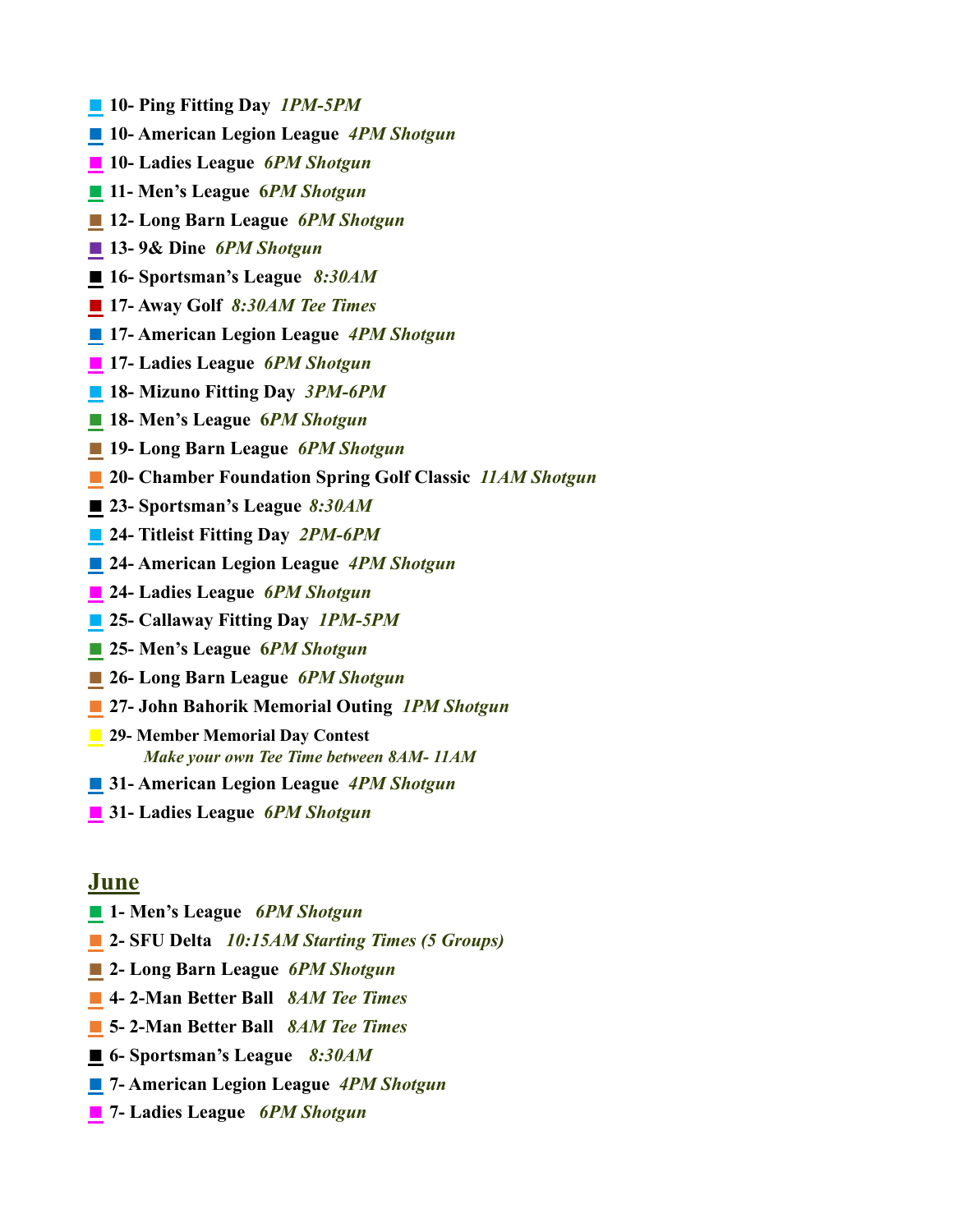- **■ 10- Ping Fitting Day** *1PM-5PM*
- **■ 10- American Legion League** *4PM Shotgun*
- **■ 10- Ladies League** *6PM Shotgun*
- **■ 11- Men's League 6***PM Shotgun*
- **■ 12- Long Barn League** *6PM Shotgun*
- **■ 13- 9& Dine** *6PM Shotgun*
- **■ 16- Sportsman's League** *8:30AM*
- **■ 17- Away Golf** *8:30AM Tee Times*
- **■ 17- American Legion League** *4PM Shotgun*
- **■ 17- Ladies League** *6PM Shotgun*
- **■ 18- Mizuno Fitting Day** *3PM-6PM*
- **■ 18- Men's League 6***PM Shotgun*
- **■ 19- Long Barn League** *6PM Shotgun*
- **■ 20- Chamber Foundation Spring Golf Classic** *11AM Shotgun*
- **■ 23- Sportsman's League** *8:30AM*
- *■* **24- Titleist Fitting Day** *2PM-6PM*
- **■ 24- American Legion League** *4PM Shotgun*
- **■ 24- Ladies League** *6PM Shotgun*
- **■ 25- Callaway Fitting Day** *1PM-5PM*
- **■ 25- Men's League 6***PM Shotgun*
- **■ 26- Long Barn League** *6PM Shotgun*
- **■ 27- John Bahorik Memorial Outing** *1PM Shotgun*
- **■ 29- Member Memorial Day Contest** *Make your own Tee Time between 8AM- 11AM*
- **■ 31- American Legion League** *4PM Shotgun*
- **■ 31- Ladies League** *6PM Shotgun*

#### **June**

- **■ 1- Men's League** *6PM Shotgun*
- **■ 2- SFU Delta** *10:15AM Starting Times (5 Groups)*
- **■ 2- Long Barn League** *6PM Shotgun*
- **■ 4- 2-Man Better Ball** *8AM Tee Times*
- **■ 5- 2-Man Better Ball** *8AM Tee Times*
- **■ 6- Sportsman's League** *8:30AM*
- **■ 7- American Legion League** *4PM Shotgun*
- **■ 7- Ladies League** *6PM Shotgun*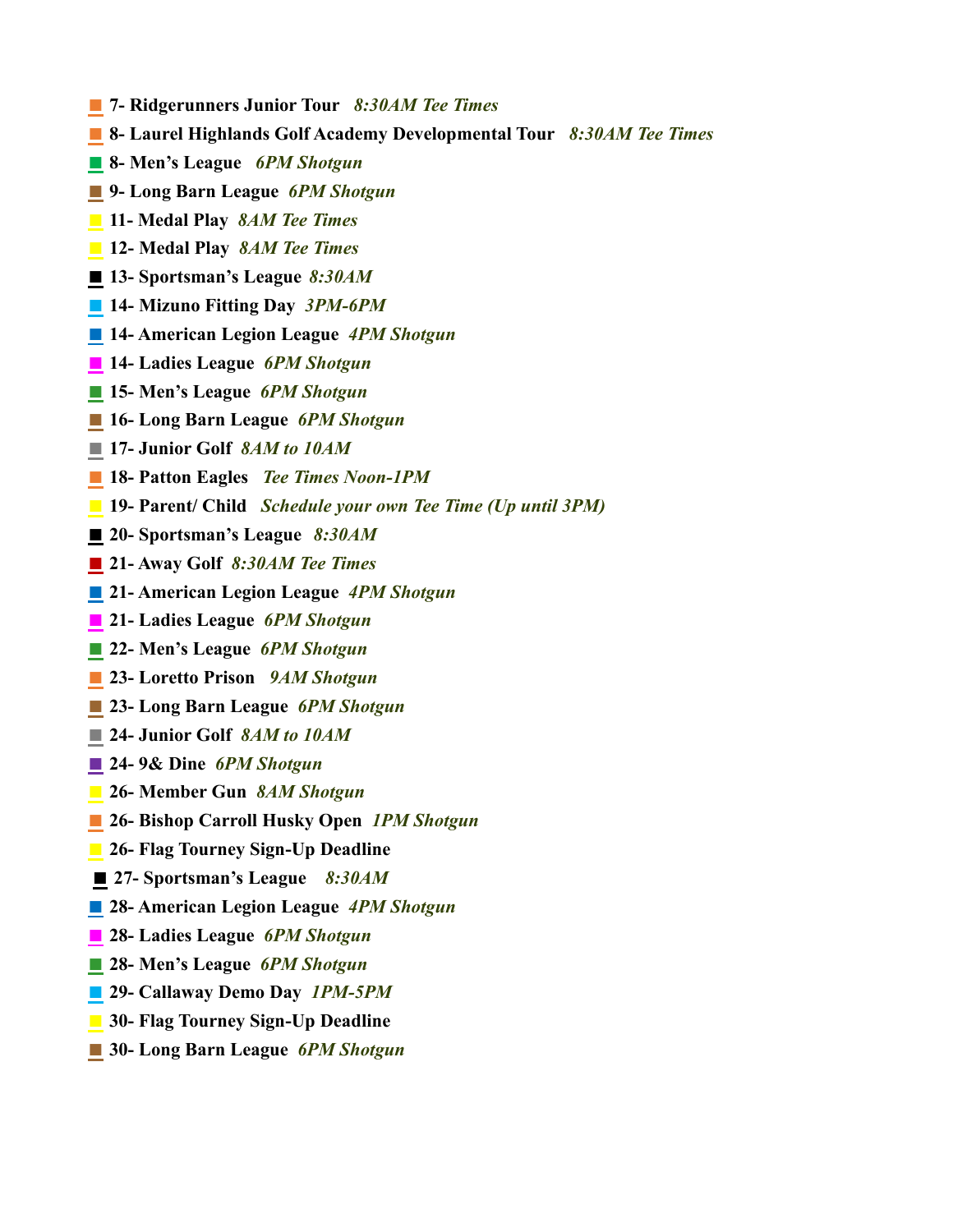- **■ 7- Ridgerunners Junior Tour** *8:30AM Tee Times*
- **■ 8- Laurel Highlands Golf Academy Developmental Tour** *8:30AM Tee Times*
- **■ 8- Men's League** *6PM Shotgun*
- *■* **9- Long Barn League** *6PM Shotgun*
- **■ 11- Medal Play** *8AM Tee Times*
- **■ 12- Medal Play** *8AM Tee Times*
- **■ 13- Sportsman's League** *8:30AM*
- **■ 14- Mizuno Fitting Day** *3PM-6PM*
- **■ 14- American Legion League** *4PM Shotgun*
- **■ 14- Ladies League** *6PM Shotgun*
- **■ 15- Men's League** *6PM Shotgun*
- **■ 16- Long Barn League** *6PM Shotgun*
- **■ 17- Junior Golf** *8AM to 10AM*
- *■* **18- Patton Eagles** *Tee Times Noon-1PM*
- **■ 19- Parent/ Child** *Schedule your own Tee Time (Up until 3PM)*
- **■ 20- Sportsman's League** *8:30AM*
- **■ 21- Away Golf** *8:30AM Tee Times*
- **■ 21- American Legion League** *4PM Shotgun*
- **■ 21- Ladies League** *6PM Shotgun*
- **■ 22- Men's League** *6PM Shotgun*
- **23- Loretto Prison** *9AM Shotgun*
- **■ 23- Long Barn League** *6PM Shotgun*
- **■ 24- Junior Golf** *8AM to 10AM*
- **■ 24- 9& Dine** *6PM Shotgun*
- **■ 26- Member Gun** *8AM Shotgun*
- **■ 26- Bishop Carroll Husky Open** *1PM Shotgun*
- **■ 26- Flag Tourney Sign-Up Deadline**
- **■ 27- Sportsman's League** *8:30AM*
- **■ 28- American Legion League** *4PM Shotgun*
- **■ 28- Ladies League** *6PM Shotgun*
- **■ 28- Men's League** *6PM Shotgun*
- **■ 29- Callaway Demo Day** *1PM-5PM*
- **■ 30- Flag Tourney Sign-Up Deadline**
- **30- Long Barn League** *6PM Shotgun*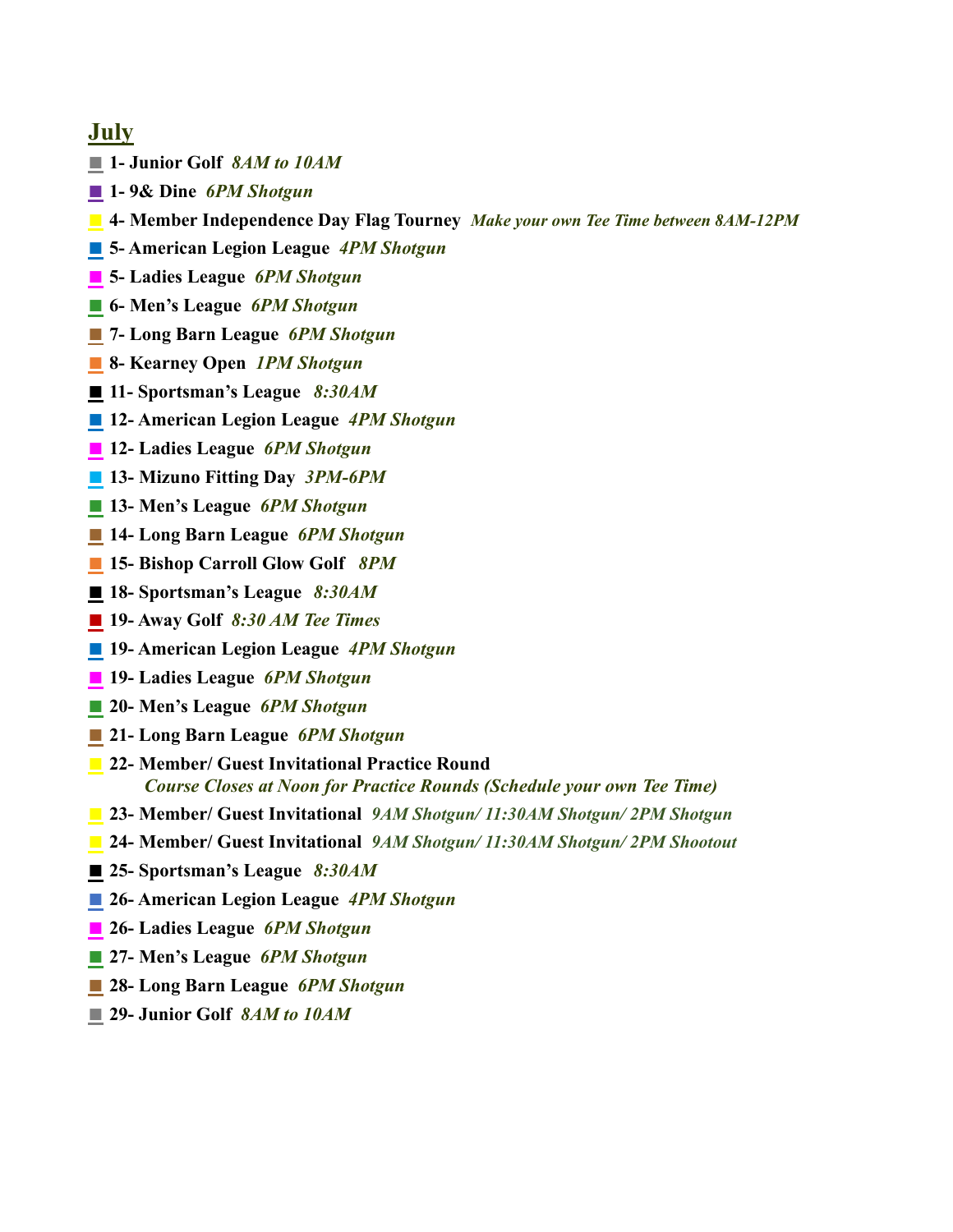## **July**

- **■ 1- Junior Golf** *8AM to 10AM*
- **■ 1- 9& Dine** *6PM Shotgun*
- **■ 4- Member Independence Day Flag Tourney** *Make your own Tee Time between 8AM-12PM*
- **■ 5- American Legion League** *4PM Shotgun*
- **■ 5- Ladies League** *6PM Shotgun*
- **■ 6- Men's League** *6PM Shotgun*
- **■ 7- Long Barn League** *6PM Shotgun*
- **■ 8- Kearney Open** *1PM Shotgun*
- **■ 11- Sportsman's League** *8:30AM*
- **■ 12- American Legion League** *4PM Shotgun*
- **■ 12- Ladies League** *6PM Shotgun*
- **■ 13- Mizuno Fitting Day** *3PM-6PM*
- **■ 13- Men's League** *6PM Shotgun*
- **■ 14- Long Barn League** *6PM Shotgun*
- **■ 15- Bishop Carroll Glow Golf** *8PM*
- **■ 18- Sportsman's League** *8:30AM*
- **■ 19- Away Golf** *8:30 AM Tee Times*
- **■ 19- American Legion League** *4PM Shotgun*
- **■ 19- Ladies League** *6PM Shotgun*
- **■ 20- Men's League** *6PM Shotgun*
- **■ 21- Long Barn League** *6PM Shotgun*
- **■ 22- Member/ Guest Invitational Practice Round** *Course Closes at Noon for Practice Rounds (Schedule your own Tee Time)*
- **■ 23- Member/ Guest Invitational** *9AM Shotgun/ 11:30AM Shotgun/ 2PM Shotgun*
- **■ 24- Member/ Guest Invitational** *9AM Shotgun/ 11:30AM Shotgun/ 2PM Shootout*
- **■ 25- Sportsman's League** *8:30AM*
- **■ 26- American Legion League** *4PM Shotgun*
- **■ 26- Ladies League** *6PM Shotgun*
- **■ 27- Men's League** *6PM Shotgun*
- **■ 28- Long Barn League** *6PM Shotgun*
- **■ 29- Junior Golf** *8AM to 10AM*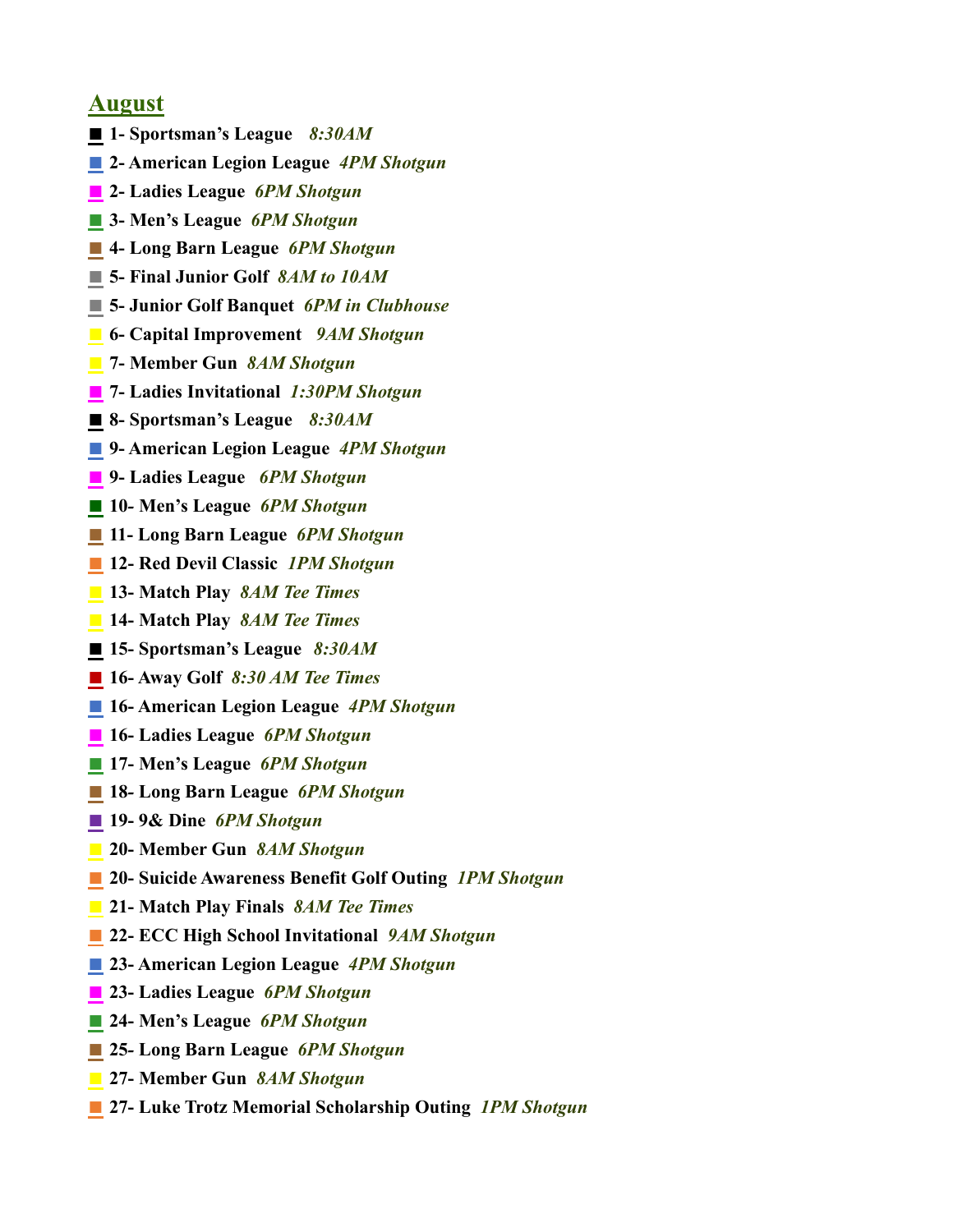## **August**

- **■ 1- Sportsman's League** *8:30AM*
- **■ 2- American Legion League** *4PM Shotgun*
- **■ 2- Ladies League** *6PM Shotgun*
- **■ 3- Men's League** *6PM Shotgun*
- **■ 4- Long Barn League** *6PM Shotgun*
- **■ 5- Final Junior Golf** *8AM to 10AM*
- **■ 5- Junior Golf Banquet** *6PM in Clubhouse*
- **■ 6- Capital Improvement** *9AM Shotgun*
- **■ 7- Member Gun** *8AM Shotgun*
- **■ 7- Ladies Invitational** *1:30PM Shotgun*
- **■ 8- Sportsman's League** *8:30AM*
- **■ 9- American Legion League** *4PM Shotgun*
- **■ 9- Ladies League** *6PM Shotgun*
- **■ 10***-* **Men's League** *6PM Shotgun*
- **■ 11- Long Barn League** *6PM Shotgun*
- **■ 12- Red Devil Classic** *1PM Shotgun*
- **■ 13- Match Play** *8AM Tee Times*
- **■ 14- Match Play** *8AM Tee Times*
- **■ 15- Sportsman's League** *8:30AM*
- **■ 16- Away Golf** *8:30 AM Tee Times*
- **■ 16- American Legion League** *4PM Shotgun*
- **■ 16- Ladies League** *6PM Shotgun*
- **■ 17- Men's League** *6PM Shotgun*
- **■ 18***-* **Long Barn League** *6PM Shotgun*
- **■ 19- 9& Dine** *6PM Shotgun*
- **■ 20- Member Gun** *8AM Shotgun*
- **20-** Suicide Awareness Benefit Golf Outing *1PM Shotgun*
- **■ 21- Match Play Finals** *8AM Tee Times*
- **■ 22- ECC High School Invitational** *9AM Shotgun*
- **■ 23- American Legion League** *4PM Shotgun*
- **■ 23- Ladies League** *6PM Shotgun*
- **■ 24- Men's League** *6PM Shotgun*
- **■ 25***-* **Long Barn League** *6PM Shotgun*
- **■ 27- Member Gun** *8AM Shotgun*
- **■ 27- Luke Trotz Memorial Scholarship Outing** *1PM Shotgun*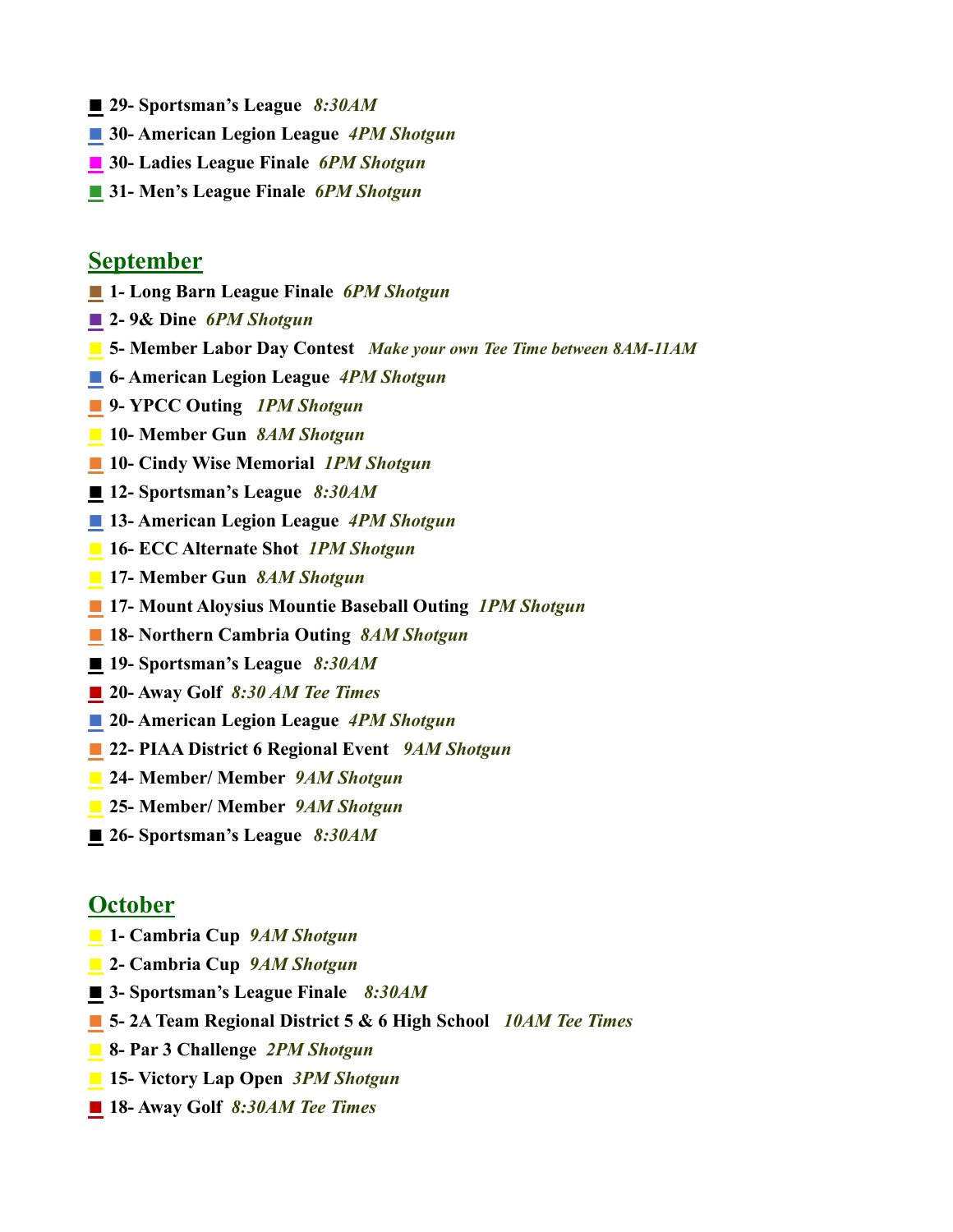- **■ 29- Sportsman's League** *8:30AM*
- **■ 30- American Legion League** *4PM Shotgun*
- **■ 30- Ladies League Finale** *6PM Shotgun*
- **■ 31- Men's League Finale** *6PM Shotgun*

#### **September**

- **■ 1***-* **Long Barn League Finale** *6PM Shotgun*
- **■ 2- 9& Dine** *6PM Shotgun*
- **■ 5- Member Labor Day Contest** *Make your own Tee Time between 8AM-11AM*
- **■ 6- American Legion League** *4PM Shotgun*
- *■* **9- YPCC Outing** *1PM Shotgun*
- **■ 10- Member Gun** *8AM Shotgun*
- **10-** Cindy Wise Memorial *1PM Shotgun*
- **■ 12- Sportsman's League** *8:30AM*
- **■ 13- American Legion League** *4PM Shotgun*
- **■ 16- ECC Alternate Shot** *1PM Shotgun*
- **■ 17- Member Gun** *8AM Shotgun*
- **■ 17- Mount Aloysius Mountie Baseball Outing** *1PM Shotgun*
- **■ 18- Northern Cambria Outing** *8AM Shotgun*
- **■ 19- Sportsman's League** *8:30AM*
- **■ 20- Away Golf** *8:30 AM Tee Times*
- **■ 20- American Legion League** *4PM Shotgun*
- **■ 22- PIAA District 6 Regional Event** *9AM Shotgun*
- **■ 24- Member/ Member** *9AM Shotgun*
- **■ 25- Member/ Member** *9AM Shotgun*
- **■ 26- Sportsman's League** *8:30AM*

### **October**

- **■ 1- Cambria Cup** *9AM Shotgun*
- **■ 2- Cambria Cup** *9AM Shotgun*
- **■ 3- Sportsman's League Finale** *8:30AM*
- **■ 5- 2A Team Regional District 5 & 6 High School** *10AM Tee Times*
- **■ 8- Par 3 Challenge** *2PM Shotgun*
- **■ 15- Victory Lap Open** *3PM Shotgun*
- **■ 18- Away Golf** *8:30AM Tee Times*